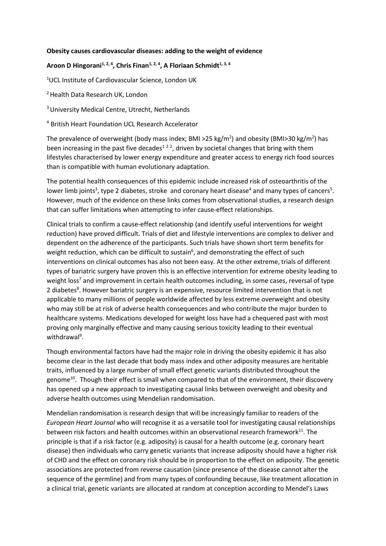## **Obesity causes cardiovascular diseases: adding to the weight of evidence**

## **Aroon D Hingorani1, 2, 4 , Chris Finan1, 2, 4, A Floriaan Schmidt1, 3, 4**

<sup>1</sup>UCL Institute of Cardiovascular Science, London UK

<sup>2</sup> Health Data Research UK, London

<sup>3</sup> University Medical Centre, Utrecht, Netherlands

<sup>4</sup> British Heart Foundation UCL Research Accelerator

The prevalence of overweight (body mass index; BMI >25 kg/m<sup>2</sup>) and obesity (BMI>30 kg/m<sup>2</sup>) has been increasing in the past five decades<sup>122</sup>, driven by societal changes that bring with them lifestyles characterised by lower energy expenditure and greater access to energy rich food sources than is compatible with human evolutionary adaptation.

The potential health consequences of this epidemic include increased risk of osteoarthritis of the lower limb joints<sup>3</sup>, type 2 diabetes, stroke and coronary heart disease<sup>4</sup> and many types of cancers<sup>5</sup>. However, much of the evidence on these links comes from observational studies, a research design that can suffer limitations when attempting to infer cause-effect relationships.

Clinical trials to confirm a cause-effect relationship (and identify useful interventions for weight reduction) have proved difficult. Trials of diet and lifestyle interventions are complex to deliver and dependent on the adherence of the participants. Such trials have shown short term benefits for weight reduction, which can be difficult to sustain<sup>6</sup>, and demonstrating the effect of such interventions on clinical outcomes has also not been easy. At the other extreme, trials of different types of bariatric surgery have proven this is an effective intervention for extreme obesity leading to weight loss<sup>7</sup> and improvement in certain health outcomes including, in some cases, reversal of type 2 diabetes<sup>8</sup>. However bariatric surgery is an expensive, resource limited intervention that is not applicable to many millions of people worldwide affected by less extreme overweight and obesity who may still be at risk of adverse health consequences and who contribute the major burden to healthcare systems. Medications developed for weight loss have had a chequered past with most proving only marginally effective and many causing serious toxicity leading to their eventual withdrawal<sup>9</sup>.

Though environmental factors have had the major role in driving the obesity epidemic it has also become clear in the last decade that body mass index and other adiposity measures are heritable traits, influenced by a large number of small effect genetic variants distributed throughout the genome<sup>10</sup>. Though their effect is small when compared to that of the environment, their discovery has opened up a new approach to investigating causal links between overweight and obesity and adverse health outcomes using Mendelian randomisation.

Mendelian randomisation is research design that will be increasingly familiar to readers of the *European Heart Journal* who will recognise it as a versatile tool for investigating causal relationships between risk factors and health outcomes within an observational research framework $^{11}$ . The principle is that if a risk factor (e.g. adiposity) is causal for a health outcome (e.g. coronary heart disease) then individuals who carry genetic variants that increase adiposity should have a higher risk of CHD and the effect on coronary risk should be in proportion to the effect on adiposity. The genetic associations are protected from reverse causation (since presence of the disease cannot alter the sequence of the germline) and from many types of confounding because, like treatment allocation in a clinical trial, genetic variants are allocated at random at conception according to Mendel's Laws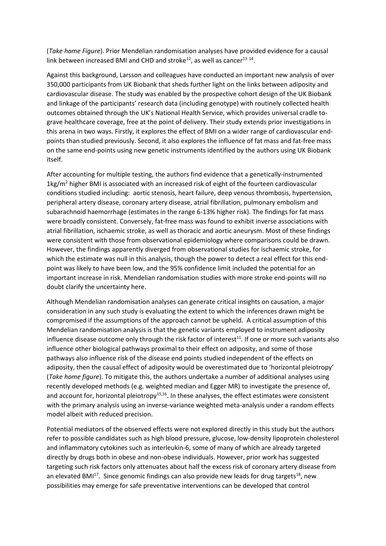(*Take home Figure*). Prior Mendelian randomisation analyses have provided evidence for a causal link between increased BMI and CHD and stroke<sup>12</sup>, as well as cancer<sup>13 14</sup>.

Against this background, Larsson and colleagues have conducted an important new analysis of over 350,000 participants from UK Biobank that sheds further light on the links between adiposity and cardiovascular disease. The study was enabled by the prospective cohort design of the UK Biobank and linkage of the participants' research data (including genotype) with routinely collected health outcomes obtained through the UK's National Health Service, which provides universal cradle tograve healthcare coverage, free at the point of delivery. Their study extends prior investigations in this arena in two ways. Firstly, it explores the effect of BMI on a wider range of cardiovascular endpoints than studied previously. Second, it also explores the influence of fat mass and fat-free mass on the same end-points using new genetic instruments identified by the authors using UK Biobank itself.

After accounting for multiple testing, the authors find evidence that a genetically-instrumented  $1$ kg/m<sup>2</sup> higher BMI is associated with an increased risk of eight of the fourteen cardiovascular conditions studied including: aortic stenosis, heart failure, deep venous thrombosis, hypertension, peripheral artery disease, coronary artery disease, atrial fibrillation, pulmonary embolism and subarachnoid haemorrhage (estimates in the range 6-13% higher risk). The findings for fat mass were broadly consistent. Conversely, fat-free mass was found to exhibit inverse associations with atrial fibrillation, ischaemic stroke, as well as thoracic and aortic aneurysm. Most of these findings were consistent with those from observational epidemiology where comparisons could be drawn. However, the findings apparently diverged from observational studies for ischaemic stroke, for which the estimate was null in this analysis, though the power to detect a real effect for this endpoint was likely to have been low, and the 95% confidence limit included the potential for an important increase in risk. Mendelian randomisation studies with more stroke end-points will no doubt clarify the uncertainty here.

Although Mendelian randomisation analyses can generate critical insights on causation, a major consideration in any such study is evaluating the extent to which the inferences drawn might be compromised if the assumptions of the approach cannot be upheld. A critical assumption of this Mendelian randomisation analysis is that the genetic variants employed to instrument adiposity influence disease outcome only through the risk factor of interest $^{11}$ . If one or more such variants also influence other biological pathways proximal to their effect on adiposity, and some of those pathways also influence risk of the disease end points studied independent of the effects on adiposity, then the causal effect of adiposity would be overestimated due to 'horizontal pleiotropy' (*Take home figure*). To mitigate this, the authors undertake a number of additional analyses using recently developed methods (e.g. weighted median and Egger MR) to investigate the presence of, and account for, horizontal pleiotropy<sup>15,16</sup>. In these analyses, the effect estimates were consistent with the primary analysis using an inverse-variance weighted meta-analysis under a random effects model albeit with reduced precision.

Potential mediators of the observed effects were not explored directly in this study but the authors refer to possible candidates such as high blood pressure, glucose, low-density lipoprotein cholesterol and inflammatory cytokines such as interleukin-6, some of many of which are already targeted directly by drugs both in obese and non-obese individuals. However, prior work has suggested targeting such risk factors only attenuates about half the excess risk of coronary artery disease from an elevated BMI<sup>17</sup>. Since genomic findings can also provide new leads for drug targets<sup>18</sup>, new possibilities may emerge for safe preventative interventions can be developed that control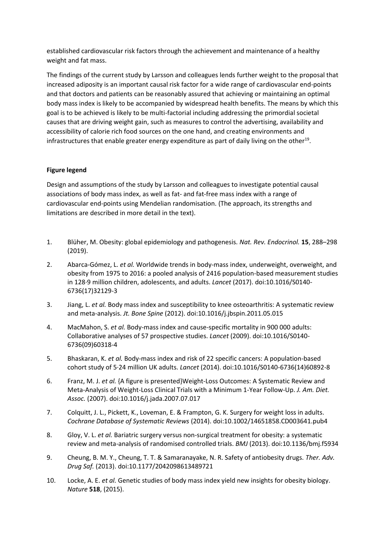established cardiovascular risk factors through the achievement and maintenance of a healthy weight and fat mass.

The findings of the current study by Larsson and colleagues lends further weight to the proposal that increased adiposity is an important causal risk factor for a wide range of cardiovascular end-points and that doctors and patients can be reasonably assured that achieving or maintaining an optimal body mass index is likely to be accompanied by widespread health benefits. The means by which this goal is to be achieved is likely to be multi-factorial including addressing the primordial societal causes that are driving weight gain, such as measures to control the advertising, availability and accessibility of calorie rich food sources on the one hand, and creating environments and infrastructures that enable greater energy expenditure as part of daily living on the other<sup>19</sup>.

## **Figure legend**

Design and assumptions of the study by Larsson and colleagues to investigate potential causal associations of body mass index, as well as fat- and fat-free mass index with a range of cardiovascular end-points using Mendelian randomisation. (The approach, its strengths and limitations are described in more detail in the text).

- 1. Blüher, M. Obesity: global epidemiology and pathogenesis. *Nat. Rev. Endocrinol.* **15**, 288–298 (2019).
- 2. Abarca-Gómez, L. *et al.* Worldwide trends in body-mass index, underweight, overweight, and obesity from 1975 to 2016: a pooled analysis of 2416 population-based measurement studies in 128·9 million children, adolescents, and adults. *Lancet* (2017). doi:10.1016/S0140- 6736(17)32129-3
- 3. Jiang, L. *et al.* Body mass index and susceptibility to knee osteoarthritis: A systematic review and meta-analysis. *Jt. Bone Spine* (2012). doi:10.1016/j.jbspin.2011.05.015
- 4. MacMahon, S. *et al.* Body-mass index and cause-specific mortality in 900 000 adults: Collaborative analyses of 57 prospective studies. *Lancet* (2009). doi:10.1016/S0140- 6736(09)60318-4
- 5. Bhaskaran, K. *et al.* Body-mass index and risk of 22 specific cancers: A population-based cohort study of 5·24 million UK adults. *Lancet* (2014). doi:10.1016/S0140-6736(14)60892-8
- 6. Franz, M. J. *et al.* {A figure is presented}Weight-Loss Outcomes: A Systematic Review and Meta-Analysis of Weight-Loss Clinical Trials with a Minimum 1-Year Follow-Up. *J. Am. Diet. Assoc.* (2007). doi:10.1016/j.jada.2007.07.017
- 7. Colquitt, J. L., Pickett, K., Loveman, E. & Frampton, G. K. Surgery for weight loss in adults. *Cochrane Database of Systematic Reviews* (2014). doi:10.1002/14651858.CD003641.pub4
- 8. Gloy, V. L. *et al.* Bariatric surgery versus non-surgical treatment for obesity: a systematic review and meta-analysis of randomised controlled trials. *BMJ* (2013). doi:10.1136/bmj.f5934
- 9. Cheung, B. M. Y., Cheung, T. T. & Samaranayake, N. R. Safety of antiobesity drugs. *Ther. Adv. Drug Saf.* (2013). doi:10.1177/2042098613489721
- 10. Locke, A. E. *et al.* Genetic studies of body mass index yield new insights for obesity biology. *Nature* **518**, (2015).